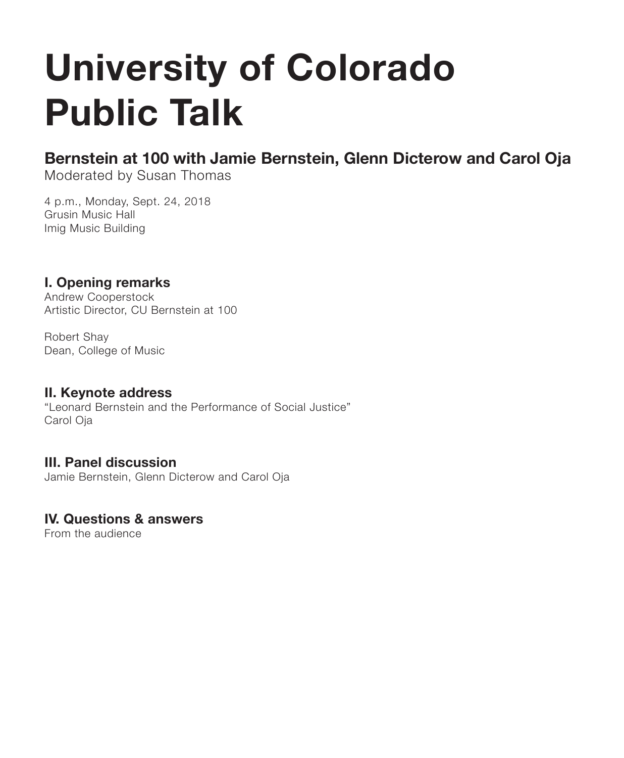# **University of Colorado Public Talk**

### **Bernstein at 100 with Jamie Bernstein, Glenn Dicterow and Carol Oja**

Moderated by Susan Thomas

4 p.m., Monday, Sept. 24, 2018 Grusin Music Hall Imig Music Building

### **I. Opening remarks**

Andrew Cooperstock Artistic Director, CU Bernstein at 100

Robert Shay Dean, College of Music

#### **II. Keynote address**

"Leonard Bernstein and the Performance of Social Justice" Carol Oja

#### **III. Panel discussion**

Jamie Bernstein, Glenn Dicterow and Carol Oja

#### **IV. Questions & answers**

From the audience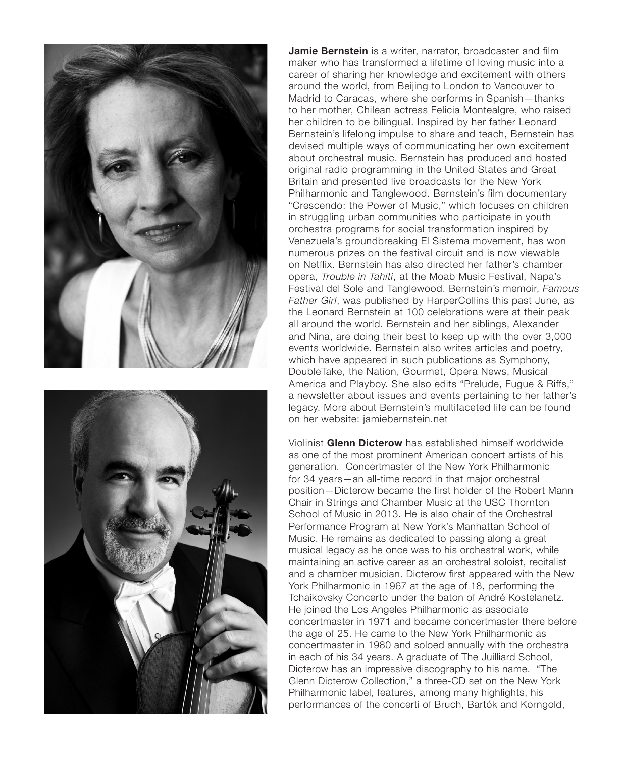



**Jamie Bernstein** is a writer, narrator, broadcaster and film maker who has transformed a lifetime of loving music into a career of sharing her knowledge and excitement with others around the world, from Beijing to London to Vancouver to Madrid to Caracas, where she performs in Spanish—thanks to her mother, Chilean actress Felicia Montealgre, who raised her children to be bilingual. Inspired by her father Leonard Bernstein's lifelong impulse to share and teach, Bernstein has devised multiple ways of communicating her own excitement about orchestral music. Bernstein has produced and hosted original radio programming in the United States and Great Britain and presented live broadcasts for the New York Philharmonic and Tanglewood. Bernstein's film documentary "Crescendo: the Power of Music," which focuses on children in struggling urban communities who participate in youth orchestra programs for social transformation inspired by Venezuela's groundbreaking El Sistema movement, has won numerous prizes on the festival circuit and is now viewable on Netflix. Bernstein has also directed her father's chamber opera, *Trouble in Tahiti*, at the Moab Music Festival, Napa's Festival del Sole and Tanglewood. Bernstein's memoir, *Famous Father Girl*, was published by HarperCollins this past June, as the Leonard Bernstein at 100 celebrations were at their peak all around the world. Bernstein and her siblings, Alexander and Nina, are doing their best to keep up with the over 3,000 events worldwide. Bernstein also writes articles and poetry, which have appeared in such publications as Symphony, DoubleTake, the Nation, Gourmet, Opera News, Musical America and Playboy. She also edits "Prelude, Fugue & Riffs," a newsletter about issues and events pertaining to her father's legacy. More about Bernstein's multifaceted life can be found on her website: jamiebernstein.net

Violinist **Glenn Dicterow** has established himself worldwide as one of the most prominent American concert artists of his generation. Concertmaster of the New York Philharmonic for 34 years—an all-time record in that major orchestral position—Dicterow became the first holder of the Robert Mann Chair in Strings and Chamber Music at the USC Thornton School of Music in 2013. He is also chair of the Orchestral Performance Program at New York's Manhattan School of Music. He remains as dedicated to passing along a great musical legacy as he once was to his orchestral work, while maintaining an active career as an orchestral soloist, recitalist and a chamber musician. Dicterow first appeared with the New York Philharmonic in 1967 at the age of 18, performing the Tchaikovsky Concerto under the baton of André Kostelanetz. He joined the Los Angeles Philharmonic as associate concertmaster in 1971 and became concertmaster there before the age of 25. He came to the New York Philharmonic as concertmaster in 1980 and soloed annually with the orchestra in each of his 34 years. A graduate of The Juilliard School, Dicterow has an impressive discography to his name. "The Glenn Dicterow Collection," a three-CD set on the New York Philharmonic label, features, among many highlights, his performances of the concerti of Bruch, Bartók and Korngold,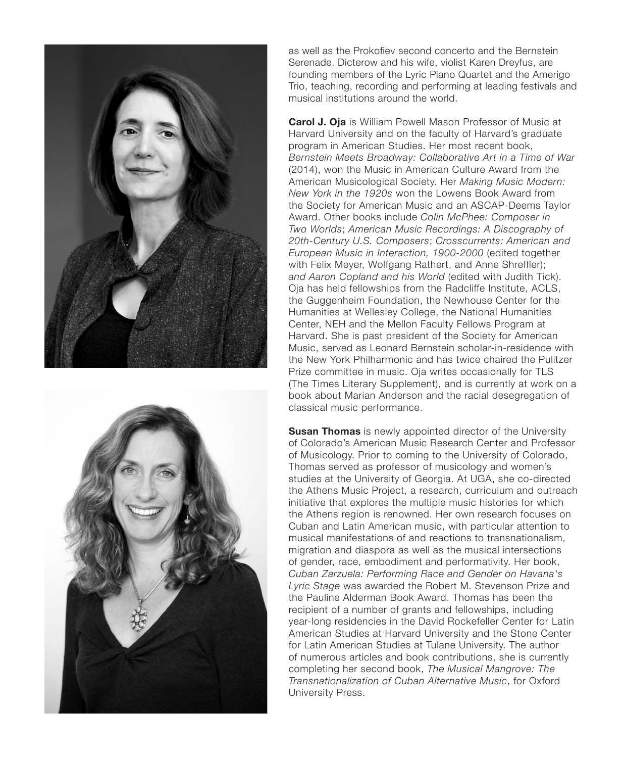



as well as the Prokofiev second concerto and the Bernstein Serenade. Dicterow and his wife, violist Karen Dreyfus, are founding members of the Lyric Piano Quartet and the Amerigo Trio, teaching, recording and performing at leading festivals and musical institutions around the world.

**Carol J. Oja** is William Powell Mason Professor of Music at Harvard University and on the faculty of Harvard's graduate program in American Studies. Her most recent book, *Bernstein Meets Broadway: Collaborative Art in a Time of War*  (2014), won the Music in American Culture Award from the American Musicological Society. Her *Making Music Modern: New York in the 1920s* won the Lowens Book Award from the Society for American Music and an ASCAP-Deems Taylor Award. Other books include *Colin McPhee: Composer in Two Worlds*; *American Music Recordings: A Discography of 20th-Century U.S. Composers*; *Crosscurrents: American and European Music in Interaction, 1900-2000* (edited together with Felix Meyer, Wolfgang Rathert, and Anne Shreffler); *and Aaron Copland and his World* (edited with Judith Tick). Oja has held fellowships from the Radcliffe Institute, ACLS, the Guggenheim Foundation, the Newhouse Center for the Humanities at Wellesley College, the National Humanities Center, NEH and the Mellon Faculty Fellows Program at Harvard. She is past president of the Society for American Music, served as Leonard Bernstein scholar-in-residence with the New York Philharmonic and has twice chaired the Pulitzer Prize committee in music. Oja writes occasionally for TLS (The Times Literary Supplement), and is currently at work on a book about Marian Anderson and the racial desegregation of classical music performance.

**Susan Thomas** is newly appointed director of the University of Colorado's American Music Research Center and Professor of Musicology. Prior to coming to the University of Colorado, Thomas served as professor of musicology and women's studies at the University of Georgia. At UGA, she co-directed the Athens Music Project, a research, curriculum and outreach initiative that explores the multiple music histories for which the Athens region is renowned. Her own research focuses on Cuban and Latin American music, with particular attention to musical manifestations of and reactions to transnationalism, migration and diaspora as well as the musical intersections of gender, race, embodiment and performativity. Her book, *Cuban Zarzuela: Performing Race and Gender on Havana's Lyric Stage* was awarded the Robert M. Stevenson Prize and the Pauline Alderman Book Award. Thomas has been the recipient of a number of grants and fellowships, including year-long residencies in the David Rockefeller Center for Latin American Studies at Harvard University and the Stone Center for Latin American Studies at Tulane University. The author of numerous articles and book contributions, she is currently completing her second book, *The Musical Mangrove: The Transnationalization of Cuban Alternative Music*, for Oxford University Press.